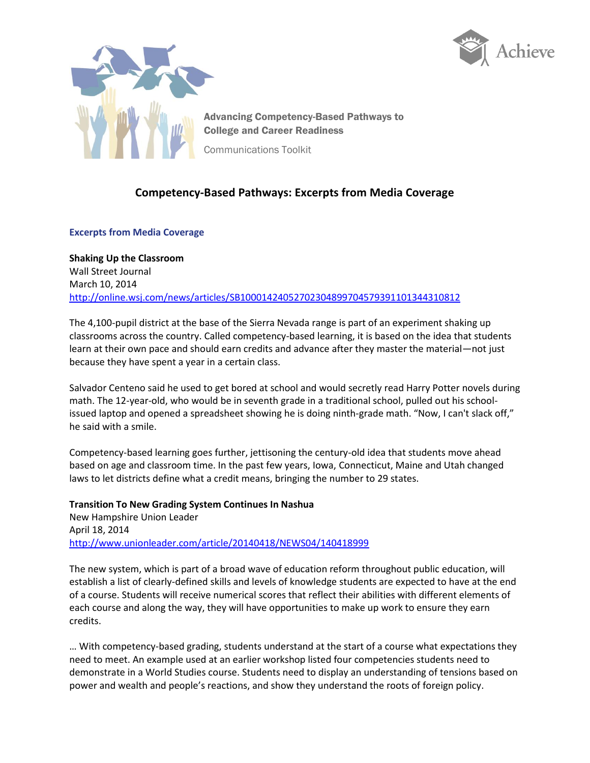



Advancing Competency-Based Pathways to College and Career Readiness

Communications Toolkit

## **Competency-Based Pathways: Excerpts from Media Coverage**

## **Excerpts from Media Coverage**

**Shaking Up the Classroom** Wall Street Journal March 10, 2014 <http://online.wsj.com/news/articles/SB10001424052702304899704579391101344310812>

The 4,100-pupil district at the base of the Sierra Nevada range is part of an experiment shaking up classrooms across the country. Called competency-based learning, it is based on the idea that students learn at their own pace and should earn credits and advance after they master the material—not just because they have spent a year in a certain class.

Salvador Centeno said he used to get bored at school and would secretly read Harry Potter novels during math. The 12-year-old, who would be in seventh grade in a traditional school, pulled out his schoolissued laptop and opened a spreadsheet showing he is doing ninth-grade math. "Now, I can't slack off," he said with a smile.

Competency-based learning goes further, jettisoning the century-old idea that students move ahead based on age and classroom time. In the past few years, Iowa, Connecticut, Maine and Utah changed laws to let districts define what a credit means, bringing the number to 29 states.

**Transition To New Grading System Continues In Nashua** New Hampshire Union Leader April 18, 2014 <http://www.unionleader.com/article/20140418/NEWS04/140418999>

The new system, which is part of a broad wave of education reform throughout public education, will establish a list of clearly-defined skills and levels of knowledge students are expected to have at the end of a course. Students will receive numerical scores that reflect their abilities with different elements of each course and along the way, they will have opportunities to make up work to ensure they earn credits.

… With competency-based grading, students understand at the start of a course what expectations they need to meet. An example used at an earlier workshop listed four competencies students need to demonstrate in a World Studies course. Students need to display an understanding of tensions based on power and wealth and people's reactions, and show they understand the roots of foreign policy.